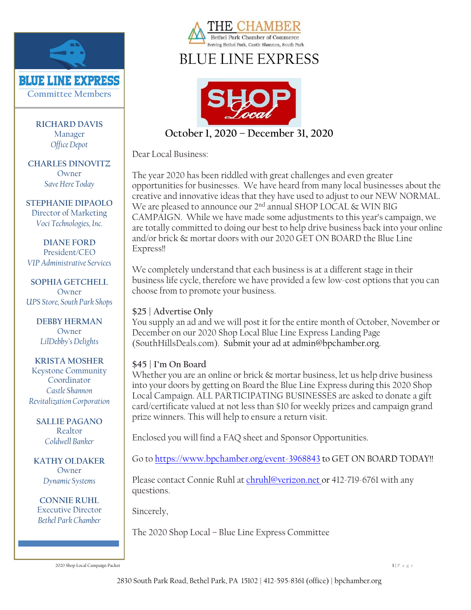

**RICHARD DAVIS** Manager *Office Depot*

**CHARLES DINOVITZ** Owner *Save Here Today*

**STEPHANIE DIPAOLO** Director of Marketing *Voci Technologies, Inc.*

**DIANE FORD** President/CEO *VIP Administrative Services*

**SOPHIA GETCHELL** Owner *UPS Store, South Park Shops*

> **DEBBY HERMAN** Owner *LilDebby's Delights*

**KRISTA MOSHER** Keystone Community Coordinator *Castle Shannon Revitalization Corporation*

**SALLIE PAGANO** Realtor *Coldwell Banker*

**KATHY OLDAKER** Owner *Dynamic Systems*

**CONNIE RUHL** Executive Director *Bethel Park Chamber*



# BLUE LINE EXPRESS



**October 1, 2020 – December 31, 2020**

Dear Local Business:

The year 2020 has been riddled with great challenges and even greater opportunities for businesses. We have heard from many local businesses about the creative and innovative ideas that they have used to adjust to our NEW NORMAL. We are pleased to announce our 2<sup>nd</sup> annual SHOP LOCAL & WIN BIG CAMPAIGN. While we have made some adjustments to this year's campaign, we are totally committed to doing our best to help drive business back into your online and/or brick & mortar doors with our 2020 GET ON BOARD the Blue Line Express!!

We completely understand that each business is at a different stage in their business life cycle, therefore we have provided a few low-cost options that you can choose from to promote your business.

#### **\$25 | Advertise Only**

You supply an ad and we will post it for the entire month of October, November or December on our 2020 Shop Local Blue Line Express Landing Page (SouthHillsDeals.com). Submit your ad at admin@bpchamber.org.

#### **\$45 | I'm On Board**

Whether you are an online or brick & mortar business, let us help drive business into your doors by getting on Board the Blue Line Express during this 2020 Shop Local Campaign. ALL PARTICIPATING BUSINESSES are asked to donate a gift card/certificate valued at not less than \$10 for weekly prizes and campaign grand prize winners. This will help to ensure a return visit.

Enclosed you will find a FAQ sheet and Sponsor Opportunities.

Go to<https://www.bpchamber.org/event-3968843> to GET ON BOARD TODAY!!

Please contact Connie Ruhl at [chruhl@verizon.net](mailto:admin@bpchamber.org) or 412-719-6761 with any questions.

Sincerely,

The 2020 Shop Local – Blue Line Express Committee

2020 Shop Local Campaign Packet **1** | P a g e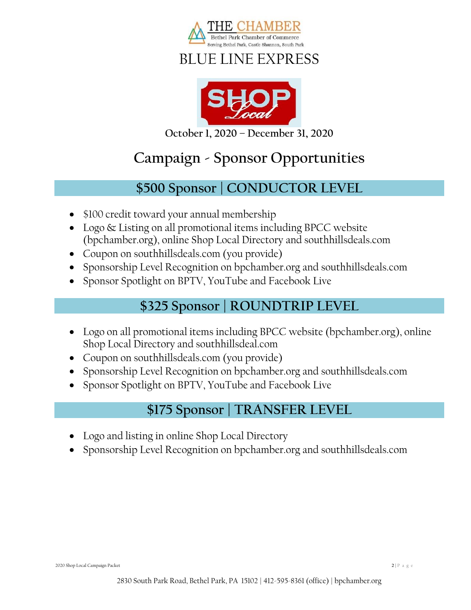

## BLUE LINE EXPRESS



**October 1, 2020 – December 31, 2020**

# **Campaign - Sponsor Opportunities**

### **\$500 Sponsor | CONDUCTOR LEVEL**

- \$100 credit toward your annual membership
- Logo & Listing on all promotional items including BPCC website (bpchamber.org), online Shop Local Directory and southhillsdeals.com
- Coupon on southhillsdeals.com (you provide)
- Sponsorship Level Recognition on bpchamber.org and southhillsdeals.com
- Sponsor Spotlight on BPTV, YouTube and Facebook Live

### **\$325 Sponsor | ROUNDTRIP LEVEL**

- Logo on all promotional items including BPCC website (bpchamber.org), online Shop Local Directory and southhillsdeal.com
- Coupon on southhillsdeals.com (you provide)
- Sponsorship Level Recognition on bpchamber.org and southhillsdeals.com
- Sponsor Spotlight on BPTV, YouTube and Facebook Live

### **\$175 Sponsor | TRANSFER LEVEL**

- Logo and listing in online Shop Local Directory
- Sponsorship Level Recognition on bpchamber.org and southhillsdeals.com